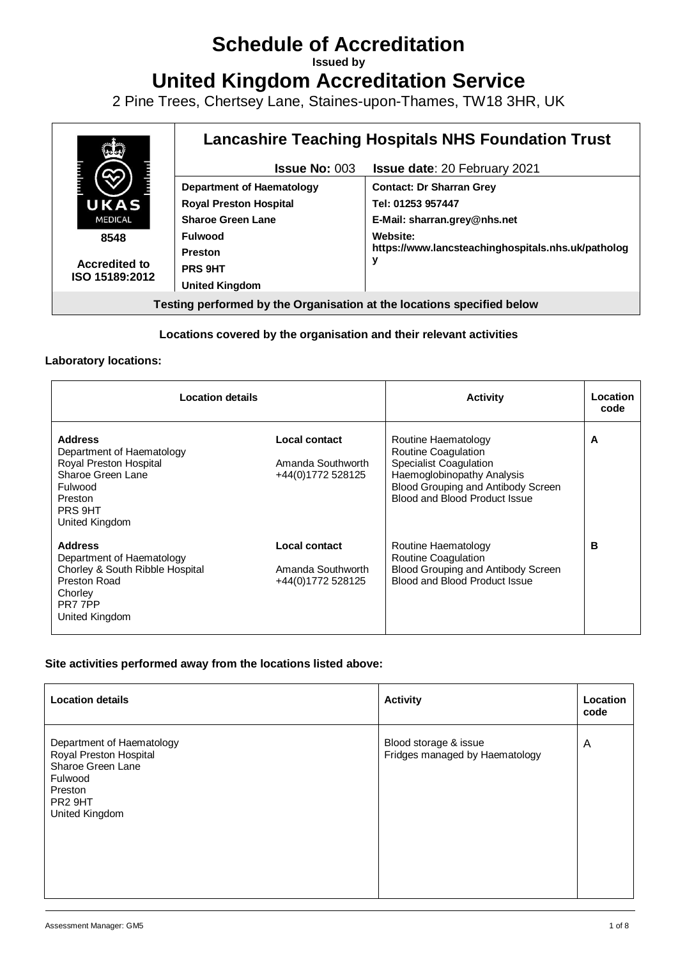# **Schedule of Accreditation**

**Issued by**

**United Kingdom Accreditation Service**

2 Pine Trees, Chertsey Lane, Staines-upon-Thames, TW18 3HR, UK



### **Locations covered by the organisation and their relevant activities**

#### **Laboratory locations:**

| <b>Location details</b>                                                                                                                       |                                                         | <b>Activity</b>                                                                                                                                                                         | Location<br>code |
|-----------------------------------------------------------------------------------------------------------------------------------------------|---------------------------------------------------------|-----------------------------------------------------------------------------------------------------------------------------------------------------------------------------------------|------------------|
| <b>Address</b><br>Department of Haematology<br>Royal Preston Hospital<br>Sharoe Green Lane<br>Fulwood<br>Preston<br>PRS 9HT<br>United Kingdom | Local contact<br>Amanda Southworth<br>+44(0)1772 528125 | Routine Haematology<br><b>Routine Coagulation</b><br><b>Specialist Coagulation</b><br>Haemoglobinopathy Analysis<br>Blood Grouping and Antibody Screen<br>Blood and Blood Product Issue | A                |
| <b>Address</b><br>Department of Haematology<br>Chorley & South Ribble Hospital<br>Preston Road<br>Chorley<br>PR7 7PP<br>United Kingdom        | Local contact<br>Amanda Southworth<br>+44(0)1772 528125 | Routine Haematology<br><b>Routine Coagulation</b><br>Blood Grouping and Antibody Screen<br>Blood and Blood Product Issue                                                                | в                |

#### **Site activities performed away from the locations listed above:**

| <b>Location details</b>                                                                                                                 | <b>Activity</b>                                         | Location<br>code |
|-----------------------------------------------------------------------------------------------------------------------------------------|---------------------------------------------------------|------------------|
| Department of Haematology<br>Royal Preston Hospital<br>Sharoe Green Lane<br>Fulwood<br>Preston<br>PR <sub>2</sub> 9HT<br>United Kingdom | Blood storage & issue<br>Fridges managed by Haematology | A                |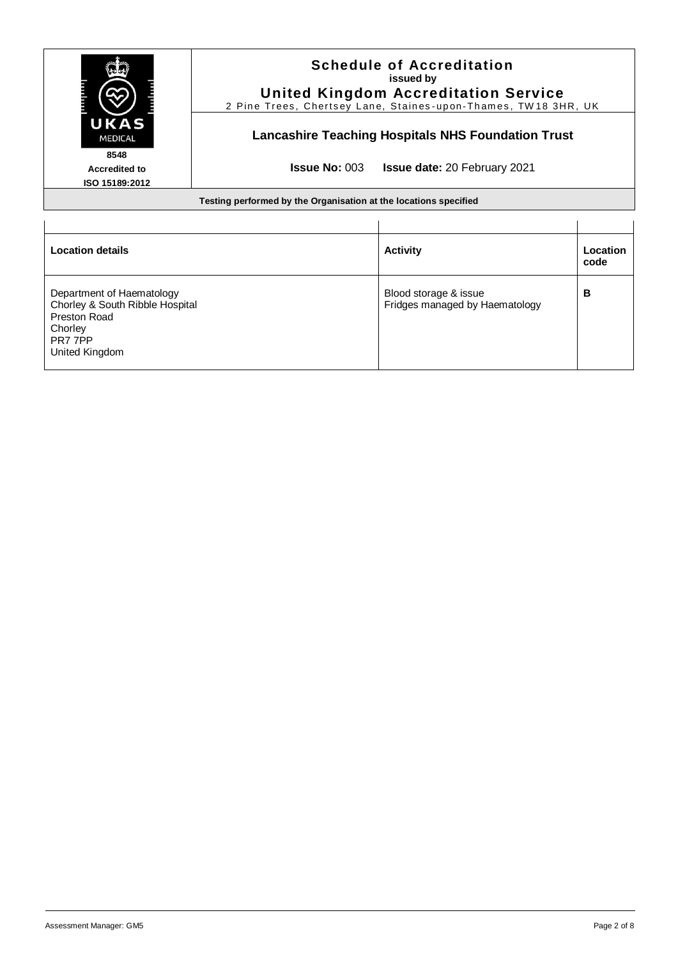|                                                              | <b>Schedule of Accreditation</b><br>issued by<br><b>United Kingdom Accreditation Service</b><br>2 Pine Trees, Chertsey Lane, Staines-upon-Thames, TW18 3HR, UK |                                                         |                  |
|--------------------------------------------------------------|----------------------------------------------------------------------------------------------------------------------------------------------------------------|---------------------------------------------------------|------------------|
| UKAS<br><b>MEDICAL</b>                                       | <b>Lancashire Teaching Hospitals NHS Foundation Trust</b>                                                                                                      |                                                         |                  |
| 8548<br>Accredited to<br>ISO 15189:2012                      | <b>Issue No: 003</b><br><b>Issue date: 20 February 2021</b>                                                                                                    |                                                         |                  |
|                                                              | Testing performed by the Organisation at the locations specified                                                                                               |                                                         |                  |
|                                                              |                                                                                                                                                                |                                                         |                  |
| <b>Location details</b>                                      |                                                                                                                                                                | <b>Activity</b>                                         | Location<br>code |
| Department of Haematology<br>Chorley & South Ribble Hospital |                                                                                                                                                                | Blood storage & issue<br>Fridges managed by Haematology | в                |

Chorley & South Ribble Hospital Preston Road **Chorley** PR7 7PP United Kingdom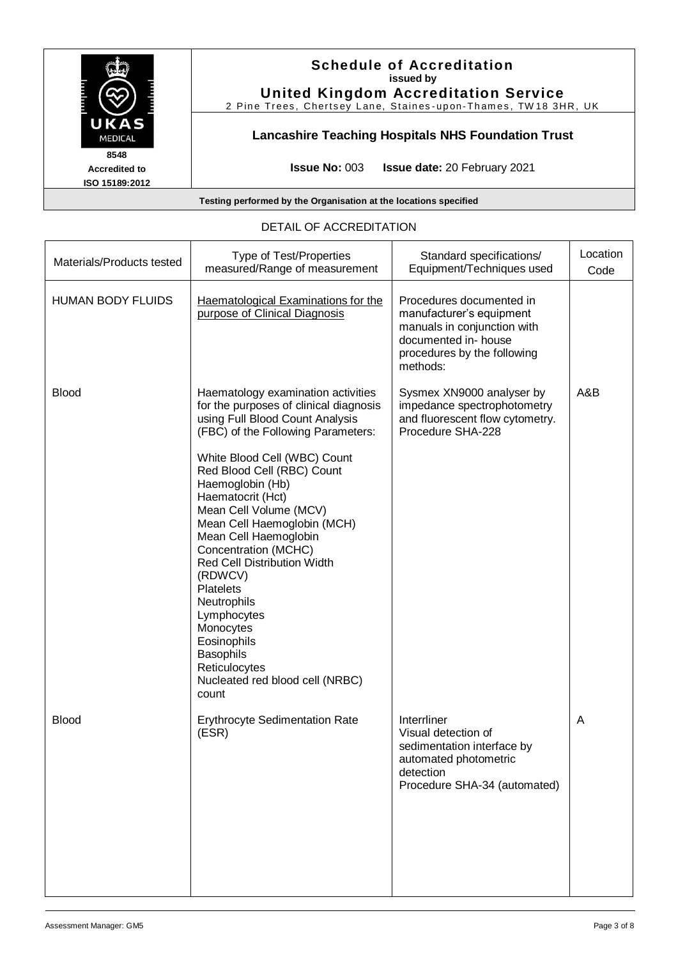| UKAS<br><b>MEDICAL</b>                         | <b>Schedule of Accreditation</b><br>issued by<br><b>United Kingdom Accreditation Service</b><br>2 Pine Trees, Chertsey Lane, Staines-upon-Thames, TW18 3HR, UK |
|------------------------------------------------|----------------------------------------------------------------------------------------------------------------------------------------------------------------|
|                                                | <b>Lancashire Teaching Hospitals NHS Foundation Trust</b>                                                                                                      |
| 8548<br><b>Accredited to</b><br>ISO 15189:2012 | <b>Issue No: <math>003</math></b><br><b>Issue date: 20 February 2021</b>                                                                                       |
|                                                | Testing performed by the Organisation at the locations specified                                                                                               |

# DETAIL OF ACCREDITATION

| Materials/Products tested | Type of Test/Properties<br>measured/Range of measurement                                                                                                                                                                                                                                                                                                                                                                      | Standard specifications/<br>Equipment/Techniques used                                                                                                  | Location<br>Code |
|---------------------------|-------------------------------------------------------------------------------------------------------------------------------------------------------------------------------------------------------------------------------------------------------------------------------------------------------------------------------------------------------------------------------------------------------------------------------|--------------------------------------------------------------------------------------------------------------------------------------------------------|------------------|
| <b>HUMAN BODY FLUIDS</b>  | Haematological Examinations for the<br>purpose of Clinical Diagnosis                                                                                                                                                                                                                                                                                                                                                          | Procedures documented in<br>manufacturer's equipment<br>manuals in conjunction with<br>documented in- house<br>procedures by the following<br>methods: |                  |
| <b>Blood</b>              | Haematology examination activities<br>for the purposes of clinical diagnosis<br>using Full Blood Count Analysis<br>(FBC) of the Following Parameters:                                                                                                                                                                                                                                                                         | Sysmex XN9000 analyser by<br>impedance spectrophotometry<br>and fluorescent flow cytometry.<br>Procedure SHA-228                                       | A&B              |
|                           | White Blood Cell (WBC) Count<br>Red Blood Cell (RBC) Count<br>Haemoglobin (Hb)<br>Haematocrit (Hct)<br>Mean Cell Volume (MCV)<br>Mean Cell Haemoglobin (MCH)<br>Mean Cell Haemoglobin<br>Concentration (MCHC)<br><b>Red Cell Distribution Width</b><br>(RDWCV)<br><b>Platelets</b><br>Neutrophils<br>Lymphocytes<br>Monocytes<br>Eosinophils<br><b>Basophils</b><br>Reticulocytes<br>Nucleated red blood cell (NRBC)<br>count |                                                                                                                                                        |                  |
| <b>Blood</b>              | <b>Erythrocyte Sedimentation Rate</b><br>(ESR)                                                                                                                                                                                                                                                                                                                                                                                | Interrliner<br>Visual detection of<br>sedimentation interface by<br>automated photometric<br>detection<br>Procedure SHA-34 (automated)                 | Α                |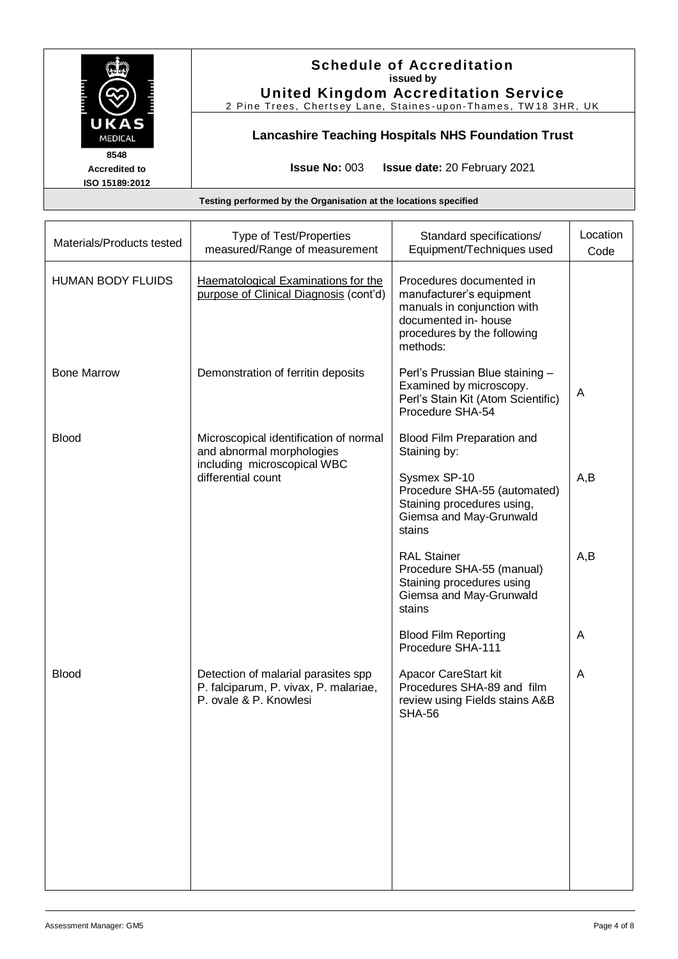|                                                | <b>Schedule of Accreditation</b><br>issued by<br><b>United Kingdom Accreditation Service</b><br>2 Pine Trees, Chertsey Lane, Staines-upon-Thames, TW18 3HR, UK |
|------------------------------------------------|----------------------------------------------------------------------------------------------------------------------------------------------------------------|
| UKAS<br><b>MEDICAL</b>                         | <b>Lancashire Teaching Hospitals NHS Foundation Trust</b>                                                                                                      |
| 8548<br><b>Accredited to</b><br>ISO 15189:2012 | <b>Issue No: 003</b><br><b>Issue date: 20 February 2021</b>                                                                                                    |
|                                                | Testing performed by the Organisation at the locations specified                                                                                               |

| Materials/Products tested | Type of Test/Properties<br>measured/Range of measurement                                               | Standard specifications/<br>Equipment/Techniques used                                                                                                  | Location<br>Code |
|---------------------------|--------------------------------------------------------------------------------------------------------|--------------------------------------------------------------------------------------------------------------------------------------------------------|------------------|
| <b>HUMAN BODY FLUIDS</b>  | Haematological Examinations for the<br>purpose of Clinical Diagnosis (cont'd)                          | Procedures documented in<br>manufacturer's equipment<br>manuals in conjunction with<br>documented in- house<br>procedures by the following<br>methods: |                  |
| <b>Bone Marrow</b>        | Demonstration of ferritin deposits                                                                     | Perl's Prussian Blue staining -<br>Examined by microscopy.<br>Perl's Stain Kit (Atom Scientific)<br>Procedure SHA-54                                   | A                |
| <b>Blood</b>              | Microscopical identification of normal<br>and abnormal morphologies                                    | Blood Film Preparation and<br>Staining by:                                                                                                             |                  |
|                           | including microscopical WBC<br>differential count                                                      | Sysmex SP-10<br>Procedure SHA-55 (automated)<br>Staining procedures using,<br>Giemsa and May-Grunwald<br>stains                                        | A,B              |
|                           |                                                                                                        | <b>RAL Stainer</b><br>Procedure SHA-55 (manual)<br>Staining procedures using<br>Giemsa and May-Grunwald<br>stains                                      | A,B              |
|                           |                                                                                                        | <b>Blood Film Reporting</b><br>Procedure SHA-111                                                                                                       | A                |
| <b>Blood</b>              | Detection of malarial parasites spp<br>P. falciparum, P. vivax, P. malariae,<br>P. ovale & P. Knowlesi | Apacor CareStart kit<br>Procedures SHA-89 and film<br>review using Fields stains A&B<br><b>SHA-56</b>                                                  | A                |
|                           |                                                                                                        |                                                                                                                                                        |                  |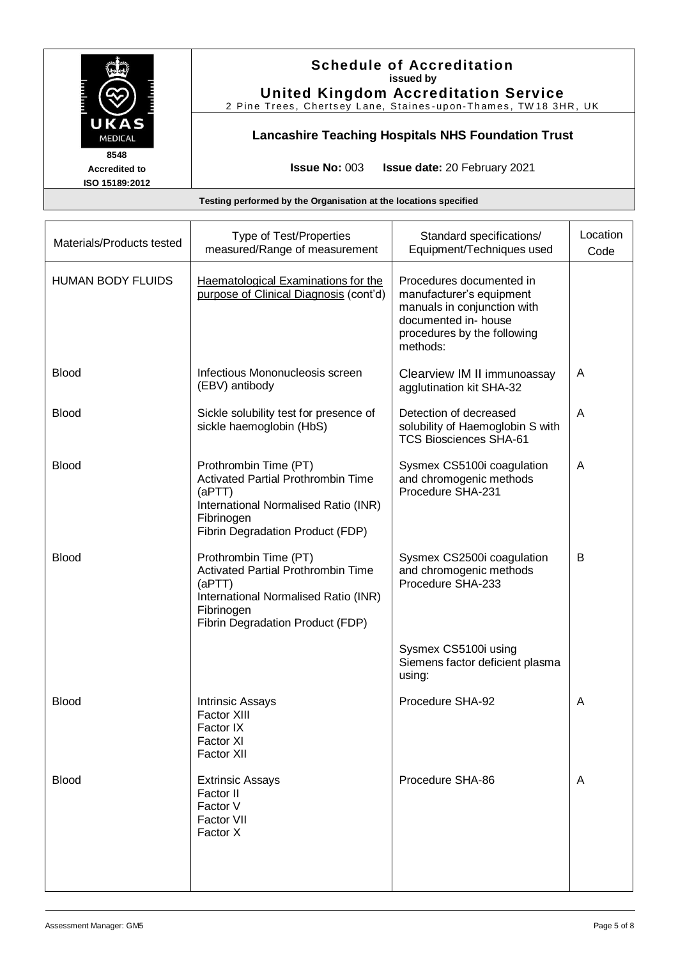

# **Schedule of Accreditation issued by**

**United Kingdom Accreditation Service** 2 Pine Trees, Chertsey Lane, Staines-upon-Thames, TW18 3HR, UK

# **Lancashire Teaching Hospitals NHS Foundation Trust**

**Accredited to ISO 15189:2012** **Issue No:** 003 **Issue date:** 20 February 2021

#### **Testing performed by the Organisation at the locations specified**

| Materials/Products tested | Type of Test/Properties<br>measured/Range of measurement                                                                                                               | Standard specifications/<br>Equipment/Techniques used                                                                                                  | Location<br>Code |
|---------------------------|------------------------------------------------------------------------------------------------------------------------------------------------------------------------|--------------------------------------------------------------------------------------------------------------------------------------------------------|------------------|
| <b>HUMAN BODY FLUIDS</b>  | Haematological Examinations for the<br>purpose of Clinical Diagnosis (cont'd)                                                                                          | Procedures documented in<br>manufacturer's equipment<br>manuals in conjunction with<br>documented in- house<br>procedures by the following<br>methods: |                  |
| <b>Blood</b>              | Infectious Mononucleosis screen<br>(EBV) antibody                                                                                                                      | Clearview IM II immunoassay<br>agglutination kit SHA-32                                                                                                | Α                |
| <b>Blood</b>              | Sickle solubility test for presence of<br>sickle haemoglobin (HbS)                                                                                                     | Detection of decreased<br>solubility of Haemoglobin S with<br><b>TCS Biosciences SHA-61</b>                                                            | A                |
| <b>Blood</b>              | Prothrombin Time (PT)<br><b>Activated Partial Prothrombin Time</b><br>(aPTT)<br>International Normalised Ratio (INR)<br>Fibrinogen<br>Fibrin Degradation Product (FDP) | Sysmex CS5100i coagulation<br>and chromogenic methods<br>Procedure SHA-231                                                                             | A                |
| <b>Blood</b>              | Prothrombin Time (PT)<br><b>Activated Partial Prothrombin Time</b><br>(aPTT)<br>International Normalised Ratio (INR)<br>Fibrinogen<br>Fibrin Degradation Product (FDP) | Sysmex CS2500i coagulation<br>and chromogenic methods<br>Procedure SHA-233                                                                             | B                |
|                           |                                                                                                                                                                        | Sysmex CS5100i using<br>Siemens factor deficient plasma<br>using:                                                                                      |                  |
| <b>Blood</b>              | Intrinsic Assays<br>Factor XIII<br>Factor IX<br>Factor XI<br>Factor XII                                                                                                | Procedure SHA-92                                                                                                                                       | A                |
| <b>Blood</b>              | <b>Extrinsic Assays</b><br>Factor II<br>Factor V<br>Factor VII<br>Factor X                                                                                             | Procedure SHA-86                                                                                                                                       | A                |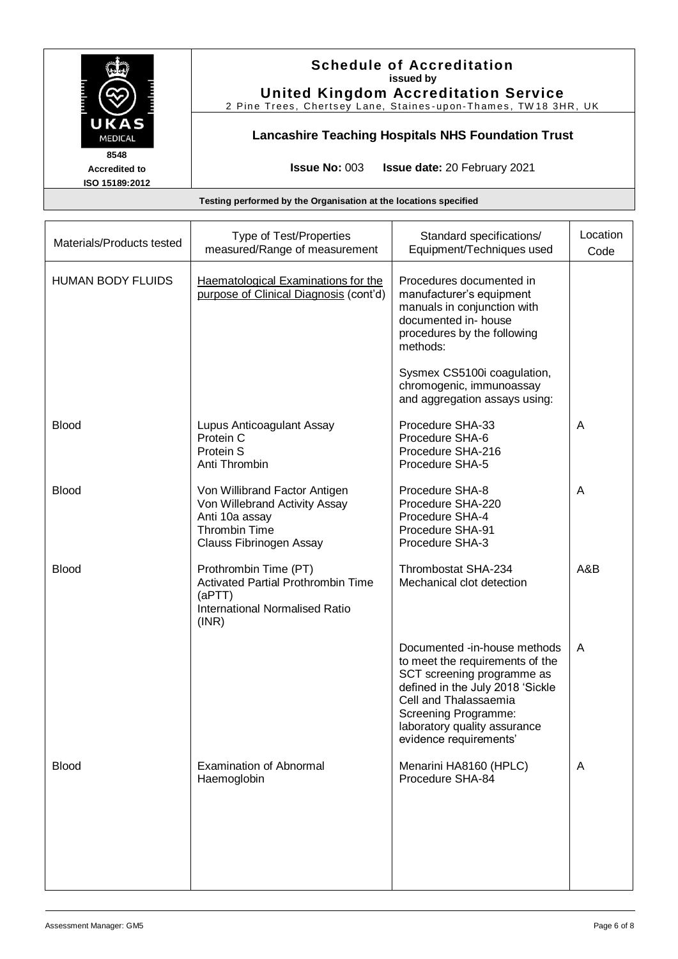|                                                | <b>Schedule of Accreditation</b><br>issued by<br><b>United Kingdom Accreditation Service</b><br>2 Pine Trees, Chertsey Lane, Staines-upon-Thames, TW18 3HR, UK |
|------------------------------------------------|----------------------------------------------------------------------------------------------------------------------------------------------------------------|
| UKAS<br><b>MEDICAL</b>                         | <b>Lancashire Teaching Hospitals NHS Foundation Trust</b>                                                                                                      |
| 8548<br><b>Accredited to</b><br>ISO 15189:2012 | <b>Issue No: <math>003</math></b><br><b>Issue date: 20 February 2021</b>                                                                                       |
|                                                | Testing performed by the Organisation at the locations specified                                                                                               |

| Materials/Products tested | Type of Test/Properties<br>measured/Range of measurement                                                                            | Standard specifications/<br>Equipment/Techniques used                                                                                                                                                                                        | Location<br>Code |
|---------------------------|-------------------------------------------------------------------------------------------------------------------------------------|----------------------------------------------------------------------------------------------------------------------------------------------------------------------------------------------------------------------------------------------|------------------|
| <b>HUMAN BODY FLUIDS</b>  | Haematological Examinations for the<br>purpose of Clinical Diagnosis (cont'd)                                                       | Procedures documented in<br>manufacturer's equipment<br>manuals in conjunction with<br>documented in- house<br>procedures by the following<br>methods:                                                                                       |                  |
|                           |                                                                                                                                     | Sysmex CS5100i coagulation,<br>chromogenic, immunoassay<br>and aggregation assays using:                                                                                                                                                     |                  |
| <b>Blood</b>              | Lupus Anticoagulant Assay<br>Protein C<br>Protein S<br>Anti Thrombin                                                                | Procedure SHA-33<br>Procedure SHA-6<br>Procedure SHA-216<br>Procedure SHA-5                                                                                                                                                                  | A                |
| <b>Blood</b>              | Von Willibrand Factor Antigen<br>Von Willebrand Activity Assay<br>Anti 10a assay<br><b>Thrombin Time</b><br>Clauss Fibrinogen Assay | Procedure SHA-8<br>Procedure SHA-220<br>Procedure SHA-4<br>Procedure SHA-91<br>Procedure SHA-3                                                                                                                                               | Α                |
| <b>Blood</b>              | Prothrombin Time (PT)<br><b>Activated Partial Prothrombin Time</b><br>(aPTT)<br><b>International Normalised Ratio</b><br>(INR)      | Thrombostat SHA-234<br>Mechanical clot detection                                                                                                                                                                                             | A&B              |
|                           |                                                                                                                                     | Documented -in-house methods<br>to meet the requirements of the<br>SCT screening programme as<br>defined in the July 2018 'Sickle<br>Cell and Thalassaemia<br>Screening Programme:<br>laboratory quality assurance<br>evidence requirements' | Α                |
| <b>Blood</b>              | <b>Examination of Abnormal</b><br>Haemoglobin                                                                                       | Menarini HA8160 (HPLC)<br>Procedure SHA-84                                                                                                                                                                                                   | A                |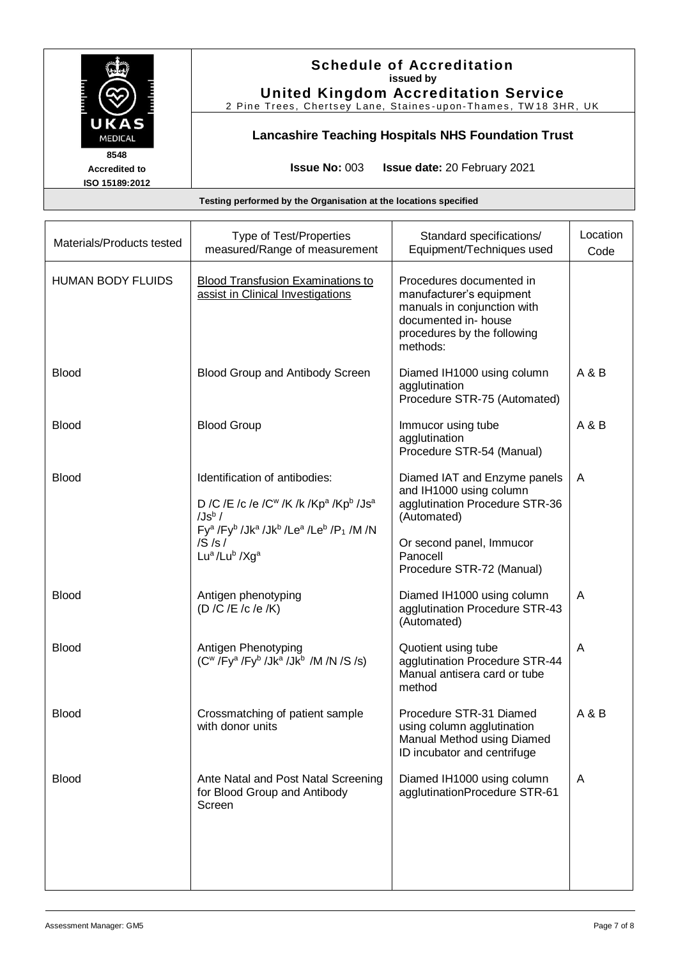| UKAS<br><b>MEDICAL</b>                         | <b>Schedule of Accreditation</b><br>issued by<br><b>United Kingdom Accreditation Service</b><br>2 Pine Trees, Chertsey Lane, Staines-upon-Thames, TW18 3HR, UK<br><b>Lancashire Teaching Hospitals NHS Foundation Trust</b> |  |
|------------------------------------------------|-----------------------------------------------------------------------------------------------------------------------------------------------------------------------------------------------------------------------------|--|
| 8548<br><b>Accredited to</b><br>ISO 15189:2012 | <b>Issue No: <math>003</math></b><br><b>Issue date: 20 February 2021</b>                                                                                                                                                    |  |
|                                                | Testing performed by the Organisation at the locations specified                                                                                                                                                            |  |

| Materials/Products tested | Type of Test/Properties<br>measured/Range of measurement                                                                                                                                                                                                                                                                        | Standard specifications/<br>Equipment/Techniques used                                                                                                  | Location<br>Code |
|---------------------------|---------------------------------------------------------------------------------------------------------------------------------------------------------------------------------------------------------------------------------------------------------------------------------------------------------------------------------|--------------------------------------------------------------------------------------------------------------------------------------------------------|------------------|
| <b>HUMAN BODY FLUIDS</b>  | <b>Blood Transfusion Examinations to</b><br>assist in Clinical Investigations                                                                                                                                                                                                                                                   | Procedures documented in<br>manufacturer's equipment<br>manuals in conjunction with<br>documented in- house<br>procedures by the following<br>methods: |                  |
| <b>Blood</b>              | Blood Group and Antibody Screen                                                                                                                                                                                                                                                                                                 | Diamed IH1000 using column<br>agglutination<br>Procedure STR-75 (Automated)                                                                            | A & B            |
| <b>Blood</b>              | <b>Blood Group</b>                                                                                                                                                                                                                                                                                                              | Immucor using tube<br>agglutination<br>Procedure STR-54 (Manual)                                                                                       | A & B            |
| <b>Blood</b>              | Identification of antibodies:<br>D /C /E /c /e /C <sup>w</sup> /K /k /Kp <sup>a</sup> /Kp <sup>b</sup> /Js <sup>a</sup><br>$/Js^b/$<br>Fy <sup>a</sup> /Fy <sup>b</sup> /Jk <sup>a</sup> /Jk <sup>b</sup> /Le <sup>a</sup> /Le <sup>b</sup> /P <sub>1</sub> /M /N<br>/S/s/<br>Lu <sup>a</sup> /Lu <sup>b</sup> /Xg <sup>a</sup> | Diamed IAT and Enzyme panels<br>and IH1000 using column<br>agglutination Procedure STR-36<br>(Automated)<br>Or second panel, Immucor<br>Panocell       | A                |
| <b>Blood</b>              | Antigen phenotyping<br>(D /C /E /c /e /K)                                                                                                                                                                                                                                                                                       | Procedure STR-72 (Manual)<br>Diamed IH1000 using column<br>agglutination Procedure STR-43<br>(Automated)                                               | A                |
| <b>Blood</b>              | Antigen Phenotyping<br>$(C^w/Fy^a/Fy^b /Jk^a /Jk^b /M /N /S /s)$                                                                                                                                                                                                                                                                | Quotient using tube<br>agglutination Procedure STR-44<br>Manual antisera card or tube<br>method                                                        | A                |
| <b>Blood</b>              | Crossmatching of patient sample<br>with donor units                                                                                                                                                                                                                                                                             | Procedure STR-31 Diamed<br>using column agglutination<br>Manual Method using Diamed<br>ID incubator and centrifuge                                     | A & B            |
| <b>Blood</b>              | Ante Natal and Post Natal Screening<br>for Blood Group and Antibody<br>Screen                                                                                                                                                                                                                                                   | Diamed IH1000 using column<br>agglutinationProcedure STR-61                                                                                            | A                |